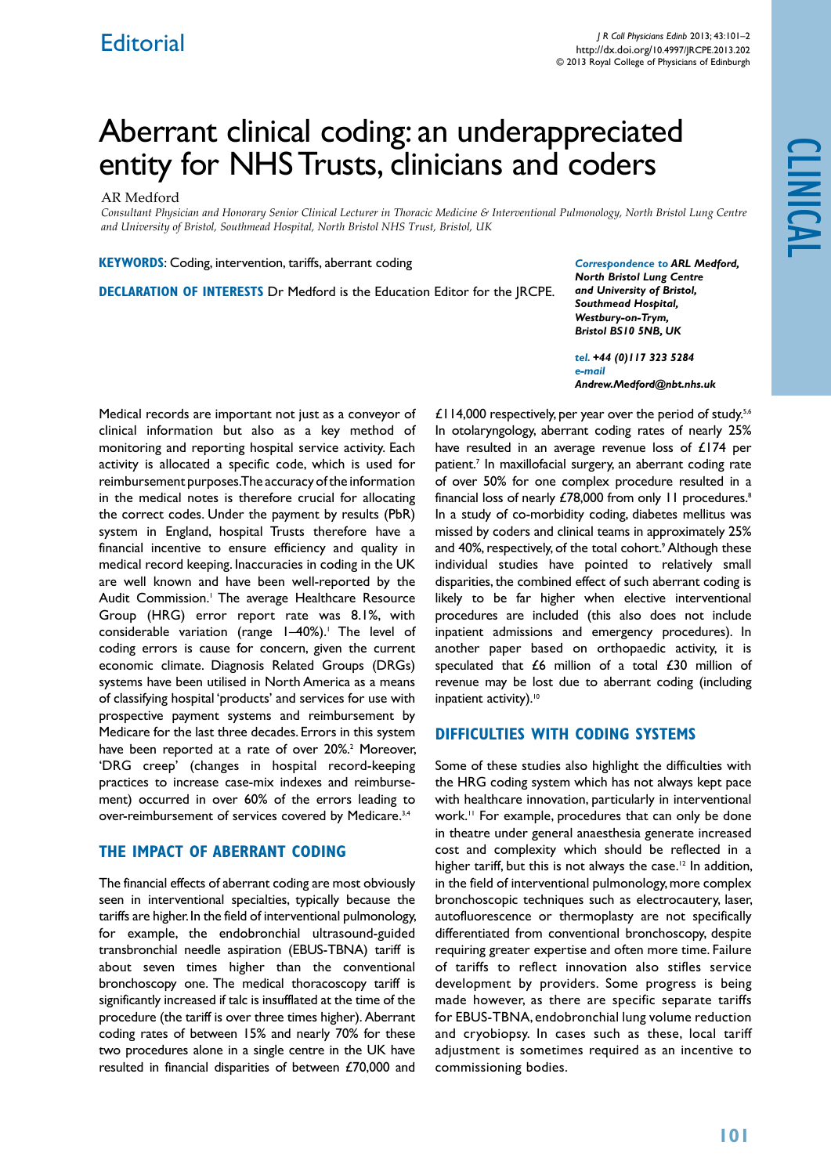# Aberrant clinical coding: an underappreciated entity for NHS Trusts, clinicians and coders

#### AR Medford

*Consultant Physician and Honorary Senior Clinical Lecturer in Thoracic Medicine & Interventional Pulmonology, North Bristol Lung Centre and University of Bristol, Southmead Hospital, North Bristol NHS Trust, Bristol, UK*

**KEYWORDS:** Coding, intervention, tariffs, aberrant coding

**Declaration of Interests** Dr Medford is the Education Editor for the JRCPE.

*Correspondence to ARL Medford, North Bristol Lung Centre and University of Bristol, Southmead Hospital, Westbury-on-Trym, Bristol BS10 5NB, UK*

*tel. +44 (0)117 323 5284 e-mail Andrew.Medford@nbt.nhs.uk*

Medical records are important not just as a conveyor of clinical information but also as a key method of monitoring and reporting hospital service activity. Each activity is allocated a specific code, which is used for reimbursement purposes. The accuracy of the information in the medical notes is therefore crucial for allocating the correct codes. Under the payment by results (PbR) system in England, hospital Trusts therefore have a financial incentive to ensure efficiency and quality in medical record keeping. Inaccuracies in coding in the UK are well known and have been well-reported by the Audit Commission.<sup>1</sup> The average Healthcare Resource Group (HRG) error report rate was 8.1%, with considerable variation (range 1-40%).<sup>1</sup> The level of coding errors is cause for concern, given the current economic climate. Diagnosis Related Groups (DRGs) systems have been utilised in North America as a means of classifying hospital 'products' and services for use with prospective payment systems and reimbursement by Medicare for the last three decades. Errors in this system have been reported at a rate of over 20%.<sup>2</sup> Moreover, 'DRG creep' (changes in hospital record-keeping practices to increase case-mix indexes and reimbursement) occurred in over 60% of the errors leading to over-reimbursement of services covered by Medicare.<sup>3,4</sup>

#### **The impact of aberrant coding**

The financial effects of aberrant coding are most obviously seen in interventional specialties, typically because the tariffs are higher. In the field of interventional pulmonology, for example, the endobronchial ultrasound-guided transbronchial needle aspiration (EBUS-TBNA) tariff is about seven times higher than the conventional bronchoscopy one. The medical thoracoscopy tariff is significantly increased if talc is insufflated at the time of the procedure (the tariff is over three times higher). Aberrant coding rates of between 15% and nearly 70% for these two procedures alone in a single centre in the UK have resulted in financial disparities of between £70,000 and

£114,000 respectively, per year over the period of study.<sup>5,6</sup> In otolaryngology, aberrant coding rates of nearly 25% have resulted in an average revenue loss of £174 per patient.7 In maxillofacial surgery, an aberrant coding rate of over 50% for one complex procedure resulted in a financial loss of nearly £78,000 from only 11 procedures.<sup>8</sup> In a study of co-morbidity coding, diabetes mellitus was missed by coders and clinical teams in approximately 25% and 40%, respectively, of the total cohort.9 Although these individual studies have pointed to relatively small disparities, the combined effect of such aberrant coding is likely to be far higher when elective interventional procedures are included (this also does not include inpatient admissions and emergency procedures). In another paper based on orthopaedic activity, it is speculated that £6 million of a total £30 million of revenue may be lost due to aberrant coding (including inpatient activity).<sup>10</sup>

### **Difficulties with coding systems**

Some of these studies also highlight the difficulties with the HRG coding system which has not always kept pace with healthcare innovation, particularly in interventional work.11 For example, procedures that can only be done in theatre under general anaesthesia generate increased cost and complexity which should be reflected in a higher tariff, but this is not always the case.<sup>12</sup> In addition, in the field of interventional pulmonology, more complex bronchoscopic techniques such as electrocautery, laser, autofluorescence or thermoplasty are not specifically differentiated from conventional bronchoscopy, despite requiring greater expertise and often more time. Failure of tariffs to reflect innovation also stifles service development by providers. Some progress is being made however, as there are specific separate tariffs for EBUS-TBNA, endobronchial lung volume reduction and cryobiopsy. In cases such as these, local tariff adjustment is sometimes required as an incentive to commissioning bodies.